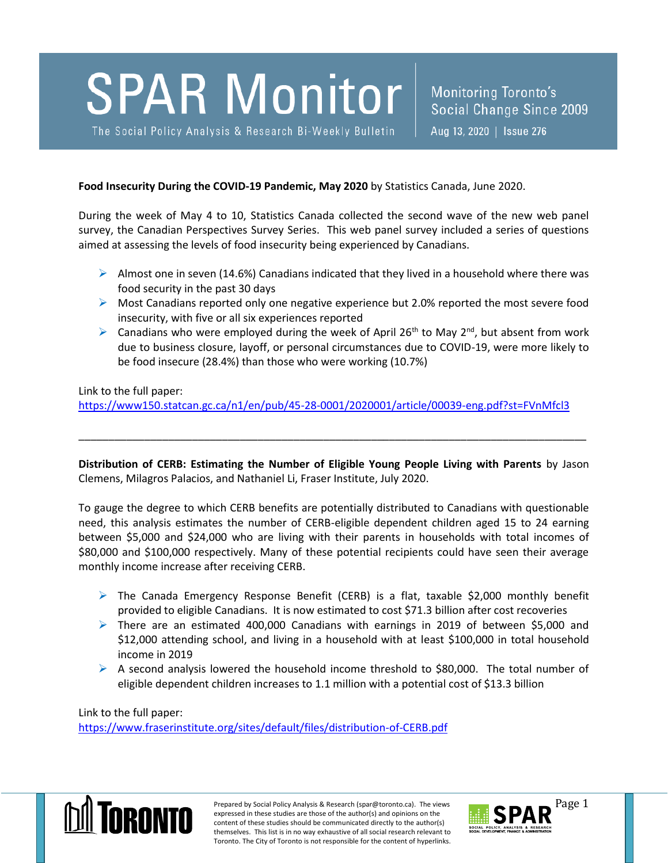## This bulletin is a quick inventory of recent social research information. Its purpose is to promptly  $\mathbf{A} \mathbf{A} \mathbf{A}$  and internal relevant to social policy.

The Social Policy Analysis & Research Bi-Weekly Bulletin | Aug 13, 2020 | Issue 276

**Food Insecurity During the COVID-19 Pandemic, May 2020** by Statistics Canada, June 2020.

During the week of May 4 to 10, Statistics Canada collected the second wave of the new web panel survey, the Canadian Perspectives Survey Series. This web panel survey included a series of questions aimed at assessing the levels of food insecurity being experienced by Canadians.

- $\triangleright$  Almost one in seven (14.6%) Canadians indicated that they lived in a household where there was food security in the past 30 days
- $\triangleright$  Most Canadians reported only one negative experience but 2.0% reported the most severe food insecurity, with five or all six experiences reported
- $\triangleright$  Canadians who were employed during the week of April 26<sup>th</sup> to May 2<sup>nd</sup>, but absent from work due to business closure, layoff, or personal circumstances due to COVID-19, were more likely to be food insecure (28.4%) than those who were working (10.7%)

Link to the full paper:

<https://www150.statcan.gc.ca/n1/en/pub/45-28-0001/2020001/article/00039-eng.pdf?st=FVnMfcl3>

**Distribution of CERB: Estimating the Number of Eligible Young People Living with Parents** by Jason Clemens, Milagros Palacios, and Nathaniel Li, Fraser Institute, July 2020.

\_\_\_\_\_\_\_\_\_\_\_\_\_\_\_\_\_\_\_\_\_\_\_\_\_\_\_\_\_\_\_\_\_\_\_\_\_\_\_\_\_\_\_\_\_\_\_\_\_\_\_\_\_\_\_\_\_\_\_\_\_\_\_\_\_\_\_\_\_\_\_\_\_\_\_\_\_\_\_\_\_\_\_\_\_

To gauge the degree to which CERB benefits are potentially distributed to Canadians with questionable need, this analysis estimates the number of CERB-eligible dependent children aged 15 to 24 earning between \$5,000 and \$24,000 who are living with their parents in households with total incomes of \$80,000 and \$100,000 respectively. Many of these potential recipients could have seen their average monthly income increase after receiving CERB.

- $\triangleright$  The Canada Emergency Response Benefit (CERB) is a flat, taxable \$2,000 monthly benefit provided to eligible Canadians. It is now estimated to cost \$71.3 billion after cost recoveries
- $\triangleright$  There are an estimated 400,000 Canadians with earnings in 2019 of between \$5,000 and \$12,000 attending school, and living in a household with at least \$100,000 in total household income in 2019
- $\triangleright$  A second analysis lowered the household income threshold to \$80,000. The total number of eligible dependent children increases to 1.1 million with a potential cost of \$13.3 billion

Link to the full paper: <https://www.fraserinstitute.org/sites/default/files/distribution-of-CERB.pdf>



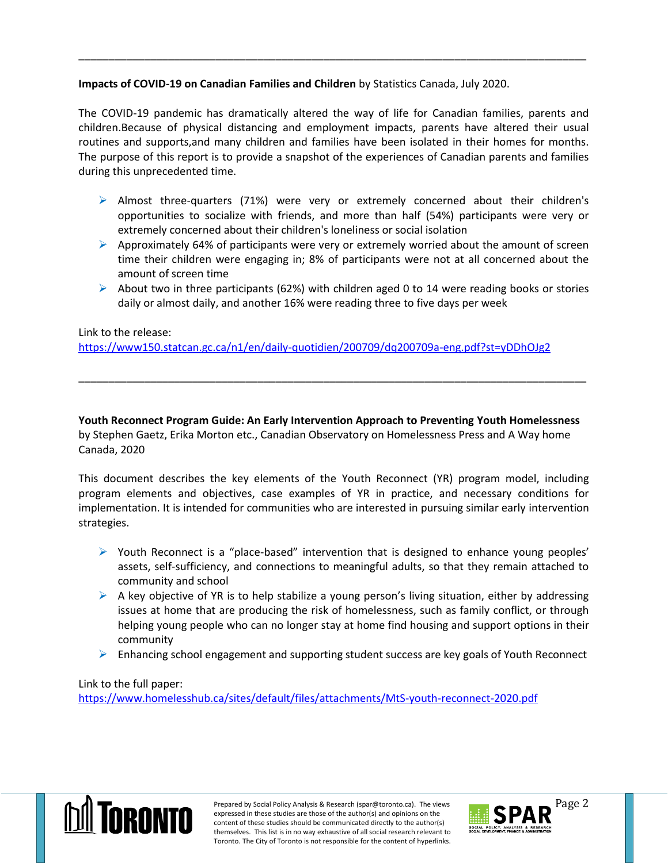## **Impacts of COVID-19 on Canadian Families and Children** by Statistics Canada, July 2020.

The COVID-19 pandemic has dramatically altered the way of life for Canadian families, parents and children.Because of physical distancing and employment impacts, parents have altered their usual routines and supports,and many children and families have been isolated in their homes for months. The purpose of this report is to provide a snapshot of the experiences of Canadian parents and families during this unprecedented time.

\_\_\_\_\_\_\_\_\_\_\_\_\_\_\_\_\_\_\_\_\_\_\_\_\_\_\_\_\_\_\_\_\_\_\_\_\_\_\_\_\_\_\_\_\_\_\_\_\_\_\_\_\_\_\_\_\_\_\_\_\_\_\_\_\_\_\_\_\_\_\_\_\_\_\_\_\_\_\_\_\_\_\_\_\_

- $\triangleright$  Almost three-quarters (71%) were very or extremely concerned about their children's opportunities to socialize with friends, and more than half (54%) participants were very or extremely concerned about their children's loneliness or social isolation
- $\triangleright$  Approximately 64% of participants were very or extremely worried about the amount of screen time their children were engaging in; 8% of participants were not at all concerned about the amount of screen time
- $\triangleright$  About two in three participants (62%) with children aged 0 to 14 were reading books or stories daily or almost daily, and another 16% were reading three to five days per week

## Link to the release:

<https://www150.statcan.gc.ca/n1/en/daily-quotidien/200709/dq200709a-eng.pdf?st=yDDhOJg2>

**Youth Reconnect Program Guide: An Early Intervention Approach to Preventing Youth Homelessness** by Stephen Gaetz, Erika Morton etc., Canadian Observatory on Homelessness Press and A Way home Canada, 2020

\_\_\_\_\_\_\_\_\_\_\_\_\_\_\_\_\_\_\_\_\_\_\_\_\_\_\_\_\_\_\_\_\_\_\_\_\_\_\_\_\_\_\_\_\_\_\_\_\_\_\_\_\_\_\_\_\_\_\_\_\_\_\_\_\_\_\_\_\_\_\_\_\_\_\_\_\_\_\_\_\_\_\_\_\_

This document describes the key elements of the Youth Reconnect (YR) program model, including program elements and objectives, case examples of YR in practice, and necessary conditions for implementation. It is intended for communities who are interested in pursuing similar early intervention strategies.

- $\triangleright$  Youth Reconnect is a "place-based" intervention that is designed to enhance young peoples' assets, self-sufficiency, and connections to meaningful adults, so that they remain attached to community and school
- $\triangleright$  A key objective of YR is to help stabilize a young person's living situation, either by addressing issues at home that are producing the risk of homelessness, such as family conflict, or through helping young people who can no longer stay at home find housing and support options in their community
- $\triangleright$  Enhancing school engagement and supporting student success are key goals of Youth Reconnect

Link to the full paper: <https://www.homelesshub.ca/sites/default/files/attachments/MtS-youth-reconnect-2020.pdf>